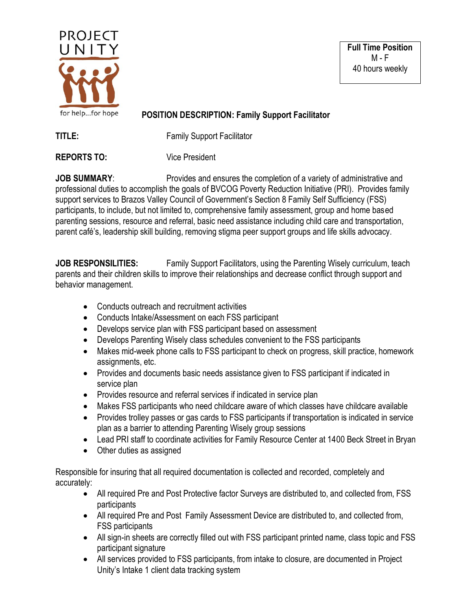

**Full Time Position** M - F 40 hours weekly

## **POSITION DESCRIPTION: Family Support Facilitator**

**TITLE:** Family Support Facilitator

**REPORTS TO:** Vice President

**JOB SUMMARY:** Provides and ensures the completion of a variety of administrative and professional duties to accomplish the goals of BVCOG Poverty Reduction Initiative (PRI). Provides family support services to Brazos Valley Council of Government's Section 8 Family Self Sufficiency (FSS) participants, to include, but not limited to, comprehensive family assessment, group and home based parenting sessions, resource and referral, basic need assistance including child care and transportation, parent café's, leadership skill building, removing stigma peer support groups and life skills advocacy.

**JOB RESPONSILITIES:** Family Support Facilitators, using the Parenting Wisely curriculum, teach parents and their children skills to improve their relationships and decrease conflict through support and behavior management.

- Conducts outreach and recruitment activities
- Conducts Intake/Assessment on each FSS participant
- Develops service plan with FSS participant based on assessment
- Develops Parenting Wisely class schedules convenient to the FSS participants
- Makes mid-week phone calls to FSS participant to check on progress, skill practice, homework assignments, etc.
- Provides and documents basic needs assistance given to FSS participant if indicated in service plan
- Provides resource and referral services if indicated in service plan
- Makes FSS participants who need childcare aware of which classes have childcare available
- Provides trolley passes or gas cards to FSS participants if transportation is indicated in service plan as a barrier to attending Parenting Wisely group sessions
- Lead PRI staff to coordinate activities for Family Resource Center at 1400 Beck Street in Bryan
- Other duties as assigned

Responsible for insuring that all required documentation is collected and recorded, completely and accurately:

- All required Pre and Post Protective factor Surveys are distributed to, and collected from, FSS participants
- All required Pre and Post Family Assessment Device are distributed to, and collected from, FSS participants
- All sign-in sheets are correctly filled out with FSS participant printed name, class topic and FSS participant signature
- All services provided to FSS participants, from intake to closure, are documented in Project Unity's Intake 1 client data tracking system